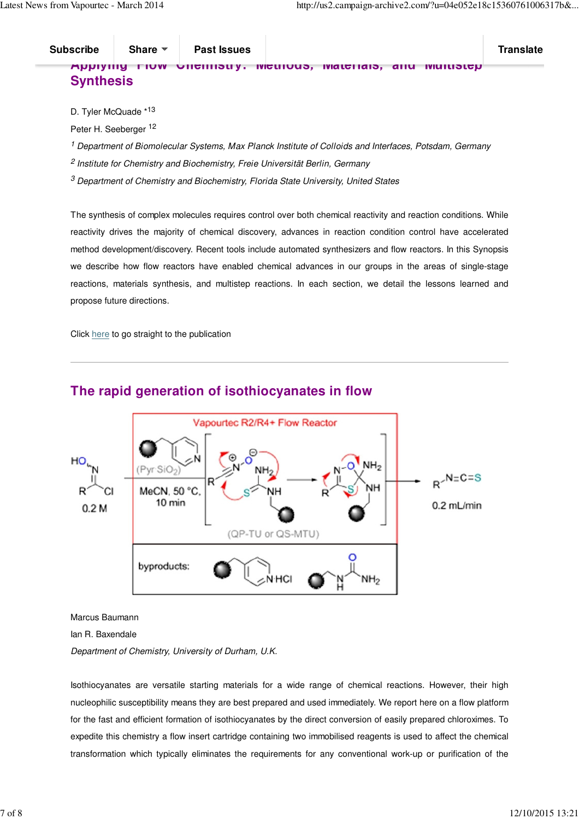## **Applying Flow Chemistry: Methods, Materials, and Multistep Synthesis**

D. Tyler McQuade \*13

Peter H. Seeberger <sup>12</sup>

<sup>1</sup> Department of Biomolecular Systems, Max Planck Institute of Colloids and Interfaces, Potsdam, Germany

<sup>2</sup> Institute for Chemistry and Biochemistry, Freie Universität Berlin, Germany

 $^3$  Department of Chemistry and Biochemistry, Florida State University, United States

The synthesis of complex molecules requires control over both chemical reactivity and reaction conditions. While reactivity drives the majority of chemical discovery, advances in reaction condition control have accelerated method development/discovery. Recent tools include automated synthesizers and flow reactors. In this Synopsis we describe how flow reactors have enabled chemical advances in our groups in the areas of single-stage reactions, materials synthesis, and multistep reactions. In each section, we detail the lessons learned and propose future directions.

Click here to go straight to the publication



## **The rapid generation of isothiocyanates in flow**

Marcus Baumann

Ian R. Baxendale

Department of Chemistry, University of Durham, U.K.

Isothiocyanates are versatile starting materials for a wide range of chemical reactions. However, their high nucleophilic susceptibility means they are best prepared and used immediately. We report here on a flow platform for the fast and efficient formation of isothiocyanates by the direct conversion of easily prepared chloroximes. To expedite this chemistry a flow insert cartridge containing two immobilised reagents is used to affect the chemical transformation which typically eliminates the requirements for any conventional work-up or purification of the reaction stream.

Click here to go straight to the publication